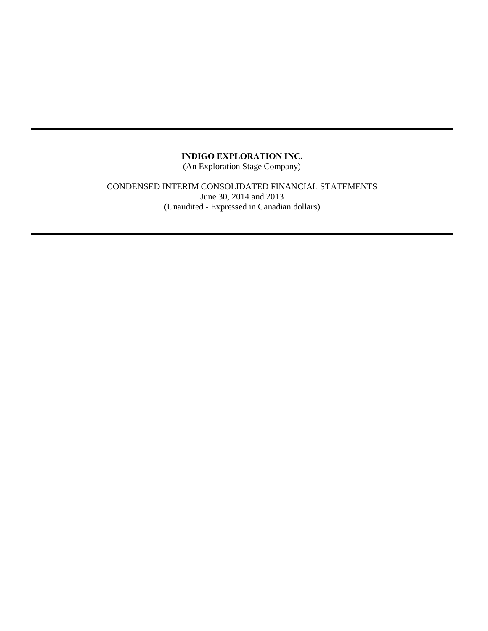(An Exploration Stage Company)

## CONDENSED INTERIM CONSOLIDATED FINANCIAL STATEMENTS June 30, 2014 and 2013 (Unaudited - Expressed in Canadian dollars)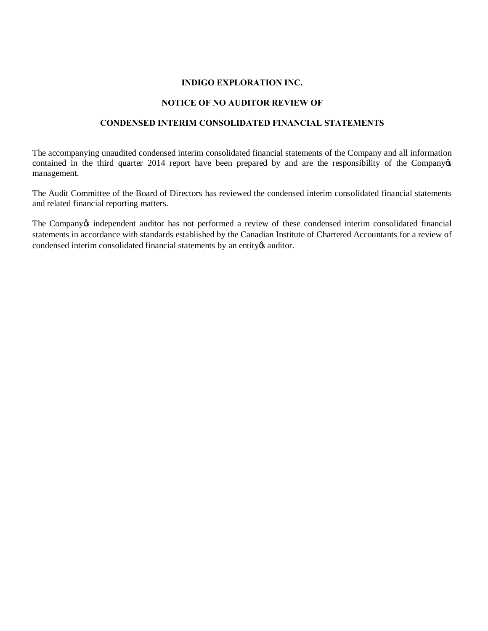## **NOTICE OF NO AUDITOR REVIEW OF**

## **CONDENSED INTERIM CONSOLIDATED FINANCIAL STATEMENTS**

The accompanying unaudited condensed interim consolidated financial statements of the Company and all information contained in the third quarter 2014 report have been prepared by and are the responsibility of the Company of management.

The Audit Committee of the Board of Directors has reviewed the condensed interim consolidated financial statements and related financial reporting matters.

The Company *independent auditor has not performed a review of these condensed interim consolidated financial* statements in accordance with standards established by the Canadian Institute of Chartered Accountants for a review of condensed interim consolidated financial statements by an entity  $\alpha$  auditor.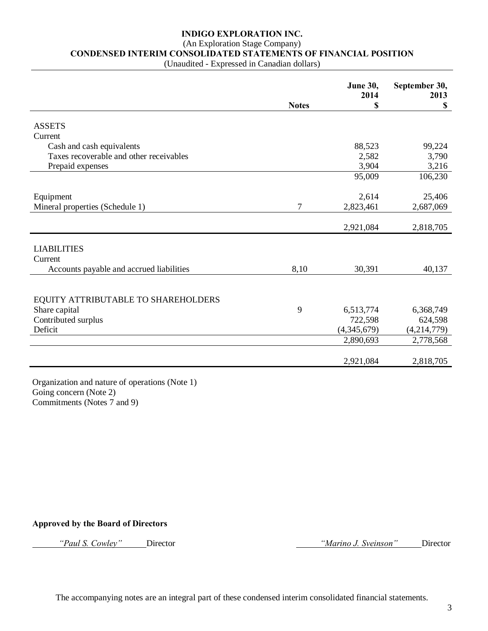# (An Exploration Stage Company)

**CONDENSED INTERIM CONSOLIDATED STATEMENTS OF FINANCIAL POSITION**

(Unaudited - Expressed in Canadian dollars)

|                                          |              | <b>June 30,</b><br>2014 | September 30,<br>2013 |
|------------------------------------------|--------------|-------------------------|-----------------------|
|                                          | <b>Notes</b> | \$                      | $\mathbf S$           |
| <b>ASSETS</b>                            |              |                         |                       |
| Current                                  |              |                         |                       |
| Cash and cash equivalents                |              | 88,523                  | 99,224                |
| Taxes recoverable and other receivables  |              | 2,582                   | 3,790                 |
| Prepaid expenses                         |              | 3,904                   | 3,216                 |
|                                          |              | 95,009                  | 106,230               |
|                                          |              |                         |                       |
| Equipment                                |              | 2,614                   | 25,406                |
| Mineral properties (Schedule 1)          | 7            | 2,823,461               | 2,687,069             |
|                                          |              |                         |                       |
|                                          |              | 2,921,084               | 2,818,705             |
| <b>LIABILITIES</b>                       |              |                         |                       |
| Current                                  |              |                         |                       |
| Accounts payable and accrued liabilities | 8,10         | 30,391                  | 40,137                |
|                                          |              |                         |                       |
|                                          |              |                         |                       |
| EQUITY ATTRIBUTABLE TO SHAREHOLDERS      |              |                         |                       |
| Share capital                            | 9            | 6,513,774               | 6,368,749             |
| Contributed surplus                      |              | 722,598                 | 624,598               |
| Deficit                                  |              | (4,345,679)             | (4,214,779)           |
|                                          |              | 2,890,693               | 2,778,568             |
|                                          |              |                         |                       |
|                                          |              | 2,921,084               | 2,818,705             |

Organization and nature of operations (Note 1) Going concern (Note 2) Commitments (Notes 7 and 9)

#### **Approved by the Board of Directors**

*"Paul S. Cowley"* Director *"Marino J. Sveinson"* Director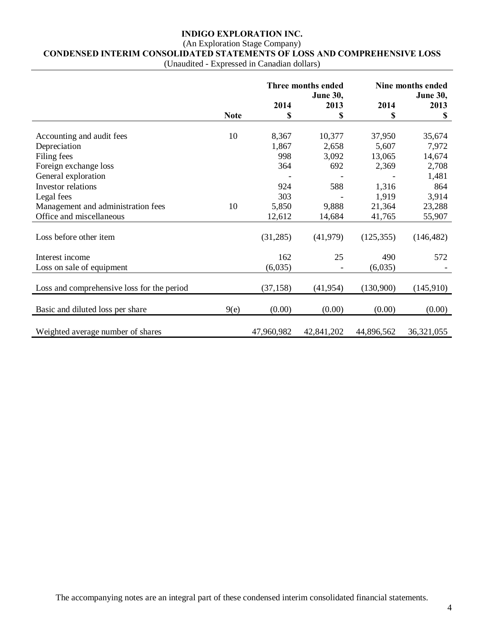## (An Exploration Stage Company) **CONDENSED INTERIM CONSOLIDATED STATEMENTS OF LOSS AND COMPREHENSIVE LOSS**

(Unaudited - Expressed in Canadian dollars)

|                                            |             |            | Three months ended<br><b>June 30,</b> |            | Nine months ended<br><b>June 30,</b> |
|--------------------------------------------|-------------|------------|---------------------------------------|------------|--------------------------------------|
|                                            |             | 2014       | 2013                                  | 2014       | 2013                                 |
|                                            | <b>Note</b> | S          | \$                                    | \$         | \$                                   |
|                                            |             |            |                                       |            |                                      |
| Accounting and audit fees                  | 10          | 8,367      | 10,377                                | 37,950     | 35,674                               |
| Depreciation                               |             | 1,867      | 2,658                                 | 5,607      | 7,972                                |
| Filing fees                                |             | 998        | 3,092                                 | 13,065     | 14,674                               |
| Foreign exchange loss                      |             | 364        | 692                                   | 2,369      | 2,708                                |
| General exploration                        |             |            |                                       |            | 1,481                                |
| Investor relations                         |             | 924        | 588                                   | 1,316      | 864                                  |
| Legal fees                                 |             | 303        |                                       | 1,919      | 3,914                                |
| Management and administration fees         | 10          | 5,850      | 9,888                                 | 21,364     | 23,288                               |
| Office and miscellaneous                   |             | 12,612     | 14,684                                | 41,765     | 55,907                               |
| Loss before other item                     |             | (31,285)   | (41, 979)                             | (125, 355) | (146, 482)                           |
| Interest income                            |             | 162        | 25                                    | 490        | 572                                  |
| Loss on sale of equipment                  |             | (6,035)    |                                       | (6,035)    |                                      |
| Loss and comprehensive loss for the period |             | (37, 158)  | (41, 954)                             | (130,900)  | (145,910)                            |
| Basic and diluted loss per share           | 9(e)        | (0.00)     | (0.00)                                | (0.00)     | (0.00)                               |
| Weighted average number of shares          |             | 47,960,982 | 42,841,202                            | 44,896,562 | 36,321,055                           |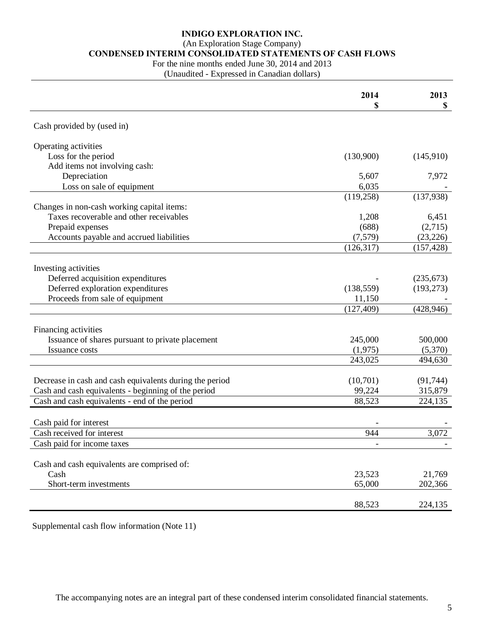## (An Exploration Stage Company)

# **CONDENSED INTERIM CONSOLIDATED STATEMENTS OF CASH FLOWS**

For the nine months ended June 30, 2014 and 2013

(Unaudited - Expressed in Canadian dollars)

|                                                         | 2014<br>\$ | 2013<br>\$ |
|---------------------------------------------------------|------------|------------|
|                                                         |            |            |
| Cash provided by (used in)                              |            |            |
| Operating activities                                    |            |            |
| Loss for the period                                     | (130,900)  | (145,910)  |
| Add items not involving cash:                           |            |            |
| Depreciation                                            | 5,607      | 7,972      |
| Loss on sale of equipment                               | 6,035      |            |
|                                                         | (119, 258) | (137,938)  |
| Changes in non-cash working capital items:              |            |            |
| Taxes recoverable and other receivables                 | 1,208      | 6,451      |
| Prepaid expenses                                        | (688)      | (2,715)    |
| Accounts payable and accrued liabilities                | (7,579)    | (23, 226)  |
|                                                         | (126, 317) | (157, 428) |
|                                                         |            |            |
| Investing activities                                    |            |            |
| Deferred acquisition expenditures                       |            | (235, 673) |
| Deferred exploration expenditures                       | (138, 559) | (193, 273) |
| Proceeds from sale of equipment                         | 11,150     |            |
|                                                         | (127, 409) | (428, 946) |
|                                                         |            |            |
| Financing activities                                    |            |            |
| Issuance of shares pursuant to private placement        | 245,000    | 500,000    |
| Issuance costs                                          | (1,975)    | (5,370)    |
|                                                         | 243,025    | 494,630    |
|                                                         |            |            |
| Decrease in cash and cash equivalents during the period | (10,701)   | (91, 744)  |
| Cash and cash equivalents - beginning of the period     | 99,224     | 315,879    |
| Cash and cash equivalents - end of the period           | 88,523     | 224,135    |
|                                                         |            |            |
| Cash paid for interest                                  |            |            |
| Cash received for interest                              | 944        | 3,072      |
| Cash paid for income taxes                              |            |            |
|                                                         |            |            |
| Cash and cash equivalents are comprised of:             |            |            |
| Cash                                                    | 23,523     | 21,769     |
| Short-term investments                                  | 65,000     | 202,366    |
|                                                         |            |            |
|                                                         | 88,523     | 224,135    |

Supplemental cash flow information (Note 11)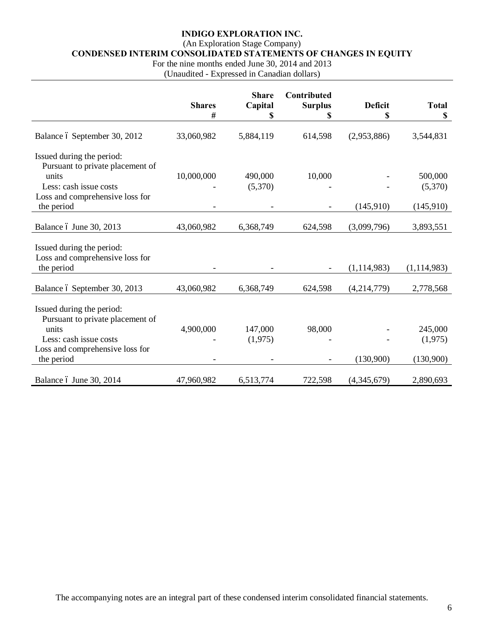## (An Exploration Stage Company)

**CONDENSED INTERIM CONSOLIDATED STATEMENTS OF CHANGES IN EQUITY**

For the nine months ended June 30, 2014 and 2013

(Unaudited - Expressed in Canadian dollars)

|                                                                    | <b>Shares</b><br># | <b>Share</b><br>Capital<br>\$ | Contributed<br><b>Surplus</b><br>\$ | <b>Deficit</b><br>\$ | <b>Total</b><br>\$ |
|--------------------------------------------------------------------|--------------------|-------------------------------|-------------------------------------|----------------------|--------------------|
| Balance ó September 30, 2012                                       | 33,060,982         | 5,884,119                     | 614,598                             | (2,953,886)          | 3,544,831          |
| Issued during the period:<br>Pursuant to private placement of      |                    |                               |                                     |                      |                    |
| units<br>Less: cash issue costs<br>Loss and comprehensive loss for | 10,000,000         | 490,000<br>(5,370)            | 10,000                              |                      | 500,000<br>(5,370) |
| the period                                                         |                    |                               |                                     | (145,910)            | (145,910)          |
| Balance ó June 30, 2013                                            | 43,060,982         | 6,368,749                     | 624,598                             | (3,099,796)          | 3,893,551          |
| Issued during the period:<br>Loss and comprehensive loss for       |                    |                               |                                     |                      |                    |
| the period                                                         |                    |                               |                                     | (1, 114, 983)        | (1, 114, 983)      |
| Balance ó September 30, 2013                                       | 43,060,982         | 6,368,749                     | 624,598                             | (4,214,779)          | 2,778,568          |
| Issued during the period:<br>Pursuant to private placement of      |                    |                               |                                     |                      |                    |
| units                                                              | 4,900,000          | 147,000                       | 98,000                              |                      | 245,000            |
| Less: cash issue costs                                             |                    | (1,975)                       |                                     |                      | (1,975)            |
| Loss and comprehensive loss for<br>the period                      |                    |                               |                                     | (130,900)            | (130,900)          |
| Balance ó June 30, 2014                                            | 47,960,982         | 6,513,774                     | 722,598                             | (4,345,679)          | 2,890,693          |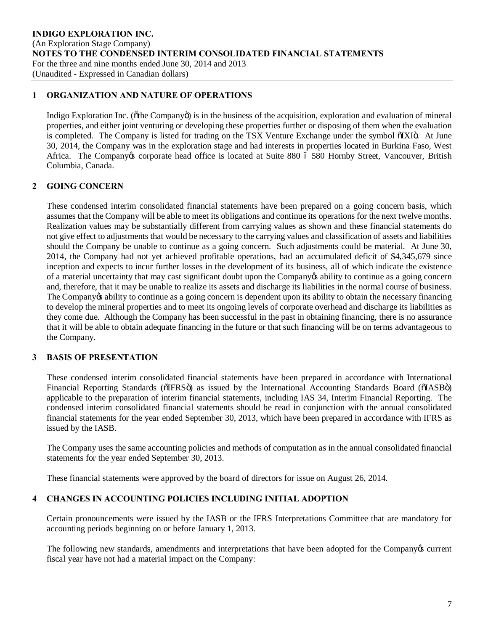## **1 ORGANIZATION AND NATURE OF OPERATIONS**

Indigo Exploration Inc. ( $\delta$ the Company $\delta$ ) is in the business of the acquisition, exploration and evaluation of mineral properties, and either joint venturing or developing these properties further or disposing of them when the evaluation is completed. The Company is listed for trading on the TSX Venture Exchange under the symbol õIXIö. At June 30, 2014, the Company was in the exploration stage and had interests in properties located in Burkina Faso, West Africa. The Company os corporate head office is located at Suite 880 6 580 Hornby Street, Vancouver, British Columbia, Canada.

## **2 GOING CONCERN**

These condensed interim consolidated financial statements have been prepared on a going concern basis, which assumes that the Company will be able to meet its obligations and continue its operations for the next twelve months. Realization values may be substantially different from carrying values as shown and these financial statements do not give effect to adjustments that would be necessary to the carrying values and classification of assets and liabilities should the Company be unable to continue as a going concern. Such adjustments could be material. At June 30, 2014, the Company had not yet achieved profitable operations, had an accumulated deficit of \$4,345,679 since inception and expects to incur further losses in the development of its business, all of which indicate the existence of a material uncertainty that may cast significant doubt upon the Company's ability to continue as a going concern and, therefore, that it may be unable to realize its assets and discharge its liabilities in the normal course of business. The Company ts ability to continue as a going concern is dependent upon its ability to obtain the necessary financing to develop the mineral properties and to meet its ongoing levels of corporate overhead and discharge its liabilities as they come due. Although the Company has been successful in the past in obtaining financing, there is no assurance that it will be able to obtain adequate financing in the future or that such financing will be on terms advantageous to the Company.

## **3 BASIS OF PRESENTATION**

These condensed interim consolidated financial statements have been prepared in accordance with International Financial Reporting Standards ( $\delta$ IFRS $\ddot{o}$ ) as issued by the International Accounting Standards Board ( $\delta$ IASB $\ddot{o}$ ) applicable to the preparation of interim financial statements, including IAS 34, Interim Financial Reporting. The condensed interim consolidated financial statements should be read in conjunction with the annual consolidated financial statements for the year ended September 30, 2013, which have been prepared in accordance with IFRS as issued by the IASB.

The Company uses the same accounting policies and methods of computation as in the annual consolidated financial statements for the year ended September 30, 2013.

These financial statements were approved by the board of directors for issue on August 26, 2014.

## **4 CHANGES IN ACCOUNTING POLICIES INCLUDING INITIAL ADOPTION**

Certain pronouncements were issued by the IASB or the IFRS Interpretations Committee that are mandatory for accounting periods beginning on or before January 1, 2013.

The following new standards, amendments and interpretations that have been adopted for the Company is current fiscal year have not had a material impact on the Company: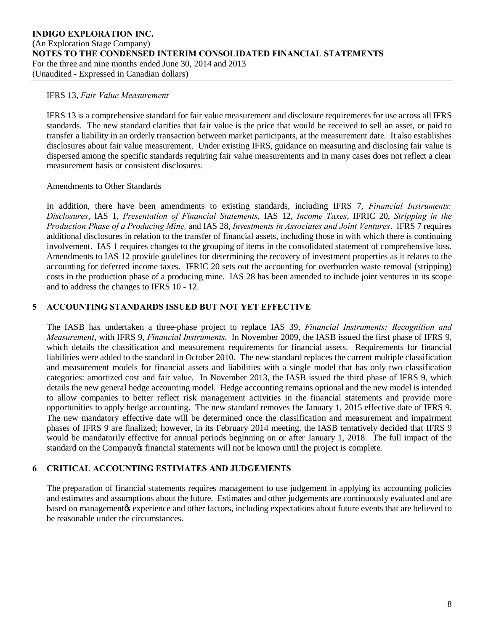#### IFRS 13, *Fair Value Measurement*

IFRS 13 is a comprehensive standard for fair value measurement and disclosure requirements for use across all IFRS standards. The new standard clarifies that fair value is the price that would be received to sell an asset, or paid to transfer a liability in an orderly transaction between market participants, at the measurement date. It also establishes disclosures about fair value measurement. Under existing IFRS, guidance on measuring and disclosing fair value is dispersed among the specific standards requiring fair value measurements and in many cases does not reflect a clear measurement basis or consistent disclosures.

## Amendments to Other Standards

In addition, there have been amendments to existing standards, including IFRS 7, *Financial Instruments: Disclosures*, IAS 1, *Presentation of Financial Statements*, IAS 12, *Income Taxes*, IFRIC 20, *Stripping in the Production Phase of a Producing Mine,* and IAS 28, *Investments in Associates and Joint Ventures*. IFRS 7 requires additional disclosures in relation to the transfer of financial assets, including those in with which there is continuing involvement. IAS 1 requires changes to the grouping of items in the consolidated statement of comprehensive loss. Amendments to IAS 12 provide guidelines for determining the recovery of investment properties as it relates to the accounting for deferred income taxes. IFRIC 20 sets out the accounting for overburden waste removal (stripping) costs in the production phase of a producing mine. IAS 28 has been amended to include joint ventures in its scope and to address the changes to IFRS 10 - 12.

## **5 ACCOUNTING STANDARDS ISSUED BUT NOT YET EFFECTIVE**

The IASB has undertaken a three-phase project to replace IAS 39, *Financial Instruments: Recognition and Measurement*, with IFRS 9, *Financial Instruments*. In November 2009, the IASB issued the first phase of IFRS 9, which details the classification and measurement requirements for financial assets. Requirements for financial liabilities were added to the standard in October 2010. The new standard replaces the current multiple classification and measurement models for financial assets and liabilities with a single model that has only two classification categories: amortized cost and fair value. In November 2013, the IASB issued the third phase of IFRS 9, which details the new general hedge accounting model. Hedge accounting remains optional and the new model is intended to allow companies to better reflect risk management activities in the financial statements and provide more opportunities to apply hedge accounting. The new standard removes the January 1, 2015 effective date of IFRS 9. The new mandatory effective date will be determined once the classification and measurement and impairment phases of IFRS 9 are finalized; however, in its February 2014 meeting, the IASB tentatively decided that IFRS 9 would be mandatorily effective for annual periods beginning on or after January 1, 2018. The full impact of the standard on the Company of financial statements will not be known until the project is complete.

## **6 CRITICAL ACCOUNTING ESTIMATES AND JUDGEMENTS**

The preparation of financial statements requires management to use judgement in applying its accounting policies and estimates and assumptions about the future. Estimates and other judgements are continuously evaluated and are based on managementøs experience and other factors, including expectations about future events that are believed to be reasonable under the circumstances.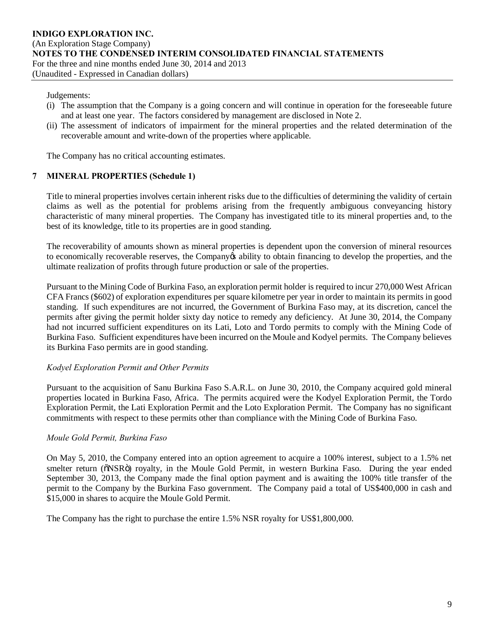#### Judgements:

- (i) The assumption that the Company is a going concern and will continue in operation for the foreseeable future and at least one year. The factors considered by management are disclosed in Note 2.
- (ii) The assessment of indicators of impairment for the mineral properties and the related determination of the recoverable amount and write-down of the properties where applicable.

The Company has no critical accounting estimates.

## **7 MINERAL PROPERTIES (Schedule 1)**

Title to mineral properties involves certain inherent risks due to the difficulties of determining the validity of certain claims as well as the potential for problems arising from the frequently ambiguous conveyancing history characteristic of many mineral properties. The Company has investigated title to its mineral properties and, to the best of its knowledge, title to its properties are in good standing.

The recoverability of amounts shown as mineral properties is dependent upon the conversion of mineral resources to economically recoverable reserves, the Company's ability to obtain financing to develop the properties, and the ultimate realization of profits through future production or sale of the properties.

Pursuant to the Mining Code of Burkina Faso, an exploration permit holder is required to incur 270,000 West African CFA Francs (\$602) of exploration expenditures per square kilometre per year in order to maintain its permits in good standing. If such expenditures are not incurred, the Government of Burkina Faso may, at its discretion, cancel the permits after giving the permit holder sixty day notice to remedy any deficiency. At June 30, 2014, the Company had not incurred sufficient expenditures on its Lati, Loto and Tordo permits to comply with the Mining Code of Burkina Faso. Sufficient expenditures have been incurred on the Moule and Kodyel permits. The Company believes its Burkina Faso permits are in good standing.

## *Kodyel Exploration Permit and Other Permits*

Pursuant to the acquisition of Sanu Burkina Faso S.A.R.L. on June 30, 2010, the Company acquired gold mineral properties located in Burkina Faso, Africa. The permits acquired were the Kodyel Exploration Permit, the Tordo Exploration Permit, the Lati Exploration Permit and the Loto Exploration Permit. The Company has no significant commitments with respect to these permits other than compliance with the Mining Code of Burkina Faso.

## *Moule Gold Permit, Burkina Faso*

On May 5, 2010, the Company entered into an option agreement to acquire a 100% interest, subject to a 1.5% net smelter return ( $\delta$ NSR $\ddot{o}$ ) royalty, in the Moule Gold Permit, in western Burkina Faso. During the year ended September 30, 2013, the Company made the final option payment and is awaiting the 100% title transfer of the permit to the Company by the Burkina Faso government. The Company paid a total of US\$400,000 in cash and \$15,000 in shares to acquire the Moule Gold Permit.

The Company has the right to purchase the entire 1.5% NSR royalty for US\$1,800,000.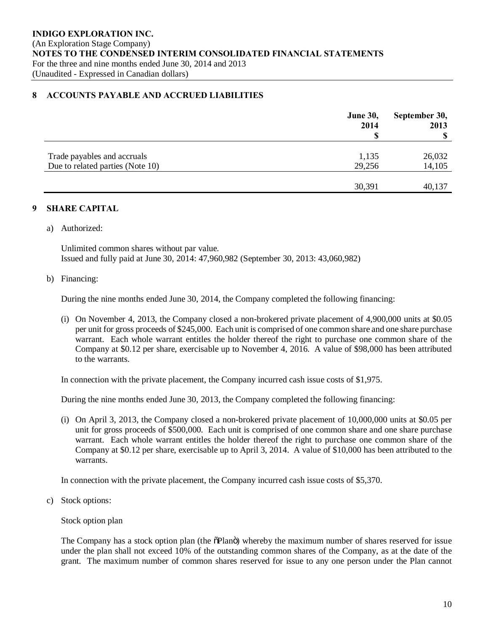#### **8 ACCOUNTS PAYABLE AND ACCRUED LIABILITIES**

|                                  | <b>June 30,</b><br>2014 | September 30,<br>2013<br>S |
|----------------------------------|-------------------------|----------------------------|
|                                  |                         |                            |
| Trade payables and accruals      | 1,135                   | 26,032                     |
| Due to related parties (Note 10) | 29,256                  | 14,105                     |
|                                  |                         |                            |
|                                  | 30,391                  | 40,137                     |

## **9 SHARE CAPITAL**

a) Authorized:

Unlimited common shares without par value. Issued and fully paid at June 30, 2014: 47,960,982 (September 30, 2013: 43,060,982)

#### b) Financing:

During the nine months ended June 30, 2014, the Company completed the following financing:

(i) On November 4, 2013, the Company closed a non-brokered private placement of 4,900,000 units at \$0.05 per unit for gross proceeds of \$245,000. Each unit is comprised of one common share and one share purchase warrant. Each whole warrant entitles the holder thereof the right to purchase one common share of the Company at \$0.12 per share, exercisable up to November 4, 2016. A value of \$98,000 has been attributed to the warrants.

In connection with the private placement, the Company incurred cash issue costs of \$1,975.

During the nine months ended June 30, 2013, the Company completed the following financing:

(i) On April 3, 2013, the Company closed a non-brokered private placement of 10,000,000 units at \$0.05 per unit for gross proceeds of \$500,000. Each unit is comprised of one common share and one share purchase warrant. Each whole warrant entitles the holder thereof the right to purchase one common share of the Company at \$0.12 per share, exercisable up to April 3, 2014. A value of \$10,000 has been attributed to the warrants.

In connection with the private placement, the Company incurred cash issue costs of \$5,370.

c) Stock options:

Stock option plan

The Company has a stock option plan (the  $\delta$ Plan $\ddot{o}$ ) whereby the maximum number of shares reserved for issue under the plan shall not exceed 10% of the outstanding common shares of the Company, as at the date of the grant. The maximum number of common shares reserved for issue to any one person under the Plan cannot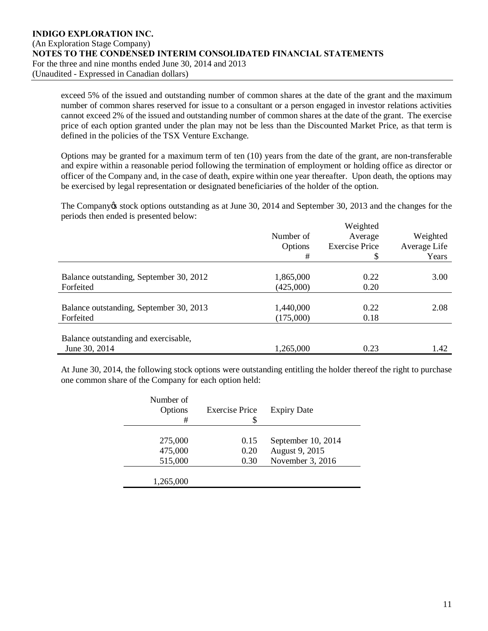exceed 5% of the issued and outstanding number of common shares at the date of the grant and the maximum number of common shares reserved for issue to a consultant or a person engaged in investor relations activities cannot exceed 2% of the issued and outstanding number of common shares at the date of the grant. The exercise price of each option granted under the plan may not be less than the Discounted Market Price, as that term is defined in the policies of the TSX Venture Exchange.

Options may be granted for a maximum term of ten (10) years from the date of the grant, are non-transferable and expire within a reasonable period following the termination of employment or holding office as director or officer of the Company and, in the case of death, expire within one year thereafter. Upon death, the options may be exercised by legal representation or designated beneficiaries of the holder of the option.

The Company *is* stock options outstanding as at June 30, 2014 and September 30, 2013 and the changes for the periods then ended is presented below:

|                                         |           | Weighted              |              |
|-----------------------------------------|-----------|-----------------------|--------------|
|                                         | Number of | Average               | Weighted     |
|                                         | Options   | <b>Exercise Price</b> | Average Life |
|                                         | #         | \$                    | Years        |
|                                         |           |                       |              |
| Balance outstanding, September 30, 2012 | 1,865,000 | 0.22                  | 3.00         |
| Forfeited                               | (425,000) | 0.20                  |              |
|                                         |           |                       |              |
| Balance outstanding, September 30, 2013 | 1,440,000 | 0.22                  | 2.08         |
| Forfeited                               | (175,000) | 0.18                  |              |
|                                         |           |                       |              |
| Balance outstanding and exercisable,    |           |                       |              |
| June 30, 2014                           | 1,265,000 | 0.23                  | 1.42         |
|                                         |           |                       |              |

At June 30, 2014, the following stock options were outstanding entitling the holder thereof the right to purchase one common share of the Company for each option held:

| Number of<br>Options<br># | <b>Exercise Price</b> | <b>Expiry Date</b> |
|---------------------------|-----------------------|--------------------|
|                           |                       |                    |
| 275,000                   | 0.15                  | September 10, 2014 |
| 475,000                   | 0.20                  | August 9, 2015     |
| 515,000                   | 0.30                  | November 3, 2016   |
|                           |                       |                    |
| 1,265,000                 |                       |                    |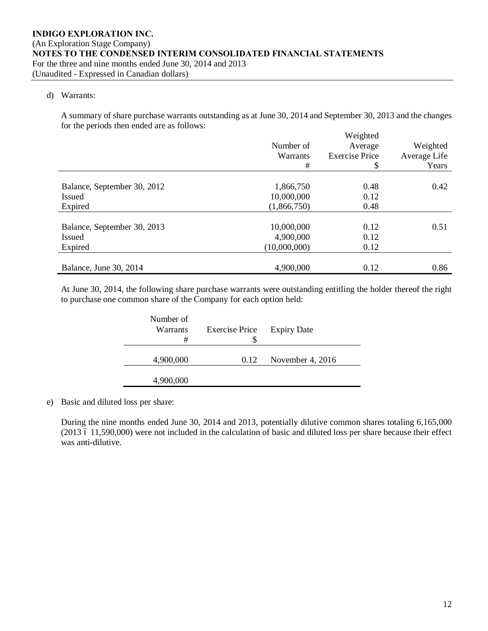#### d) Warrants:

A summary of share purchase warrants outstanding as at June 30, 2014 and September 30, 2013 and the changes for the periods then ended are as follows:

|                             |              | Weighted              |              |
|-----------------------------|--------------|-----------------------|--------------|
|                             | Number of    | Average               | Weighted     |
|                             | Warrants     | <b>Exercise Price</b> | Average Life |
|                             | #            | \$                    | Years        |
|                             |              |                       |              |
| Balance, September 30, 2012 | 1,866,750    | 0.48                  | 0.42         |
| <b>Issued</b>               | 10,000,000   | 0.12                  |              |
| Expired                     | (1,866,750)  | 0.48                  |              |
|                             |              |                       |              |
| Balance, September 30, 2013 | 10,000,000   | 0.12                  | 0.51         |
| <b>Issued</b>               | 4,900,000    | 0.12                  |              |
| Expired                     | (10,000,000) | 0.12                  |              |
|                             |              |                       |              |
| Balance, June 30, 2014      | 4,900,000    | 0.12                  | 0.86         |

At June 30, 2014, the following share purchase warrants were outstanding entitling the holder thereof the right to purchase one common share of the Company for each option held:

| Number of<br>Warrants<br># | <b>Exercise Price</b> | <b>Expiry Date</b> |
|----------------------------|-----------------------|--------------------|
| 4,900,000                  | 0.12                  | November 4, 2016   |
| 4,900,000                  |                       |                    |

e) Basic and diluted loss per share:

During the nine months ended June 30, 2014 and 2013, potentially dilutive common shares totaling 6,165,000 (2013 6 11,590,000) were not included in the calculation of basic and diluted loss per share because their effect was anti-dilutive.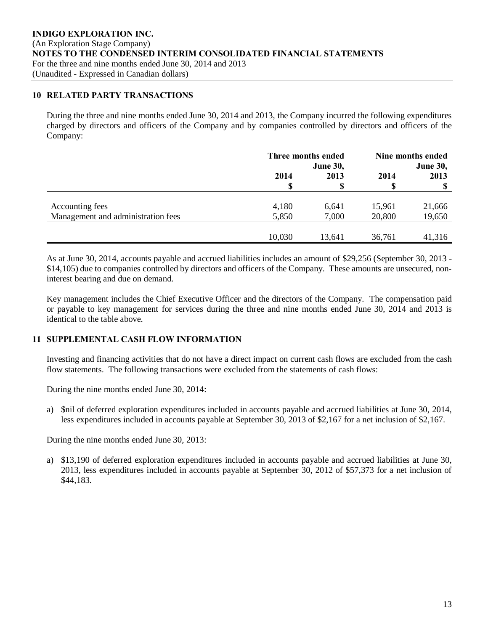#### **10 RELATED PARTY TRANSACTIONS**

During the three and nine months ended June 30, 2014 and 2013, the Company incurred the following expenditures charged by directors and officers of the Company and by companies controlled by directors and officers of the Company:

|                                    | Three months ended<br><b>June 30,</b> |        | Nine months ended<br><b>June 30,</b> |        |
|------------------------------------|---------------------------------------|--------|--------------------------------------|--------|
|                                    | 2014                                  | 2013   | 2014                                 | 2013   |
|                                    | S                                     | \$     | S                                    |        |
|                                    |                                       |        |                                      |        |
| Accounting fees                    | 4,180                                 | 6,641  | 15,961                               | 21,666 |
| Management and administration fees | 5,850                                 | 7,000  | 20,800                               | 19,650 |
|                                    |                                       |        |                                      |        |
|                                    | 10,030                                | 13,641 | 36,761                               | 41,316 |

As at June 30, 2014, accounts payable and accrued liabilities includes an amount of \$29,256 (September 30, 2013 - \$14,105) due to companies controlled by directors and officers of the Company. These amounts are unsecured, noninterest bearing and due on demand.

Key management includes the Chief Executive Officer and the directors of the Company. The compensation paid or payable to key management for services during the three and nine months ended June 30, 2014 and 2013 is identical to the table above.

## **11 SUPPLEMENTAL CASH FLOW INFORMATION**

Investing and financing activities that do not have a direct impact on current cash flows are excluded from the cash flow statements. The following transactions were excluded from the statements of cash flows:

During the nine months ended June 30, 2014:

a) \$nil of deferred exploration expenditures included in accounts payable and accrued liabilities at June 30, 2014, less expenditures included in accounts payable at September 30, 2013 of \$2,167 for a net inclusion of \$2,167.

During the nine months ended June 30, 2013:

a) \$13,190 of deferred exploration expenditures included in accounts payable and accrued liabilities at June 30, 2013, less expenditures included in accounts payable at September 30, 2012 of \$57,373 for a net inclusion of \$44,183.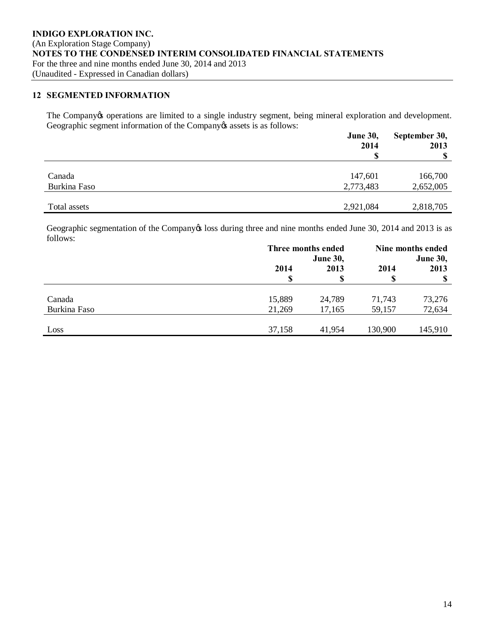#### **12 SEGMENTED INFORMATION**

The Company operations are limited to a single industry segment, being mineral exploration and development. Geographic segment information of the Company  $\alpha$  assets is as follows:

|              | <b>June 30,</b><br>2014 | September 30,<br>2013 |  |
|--------------|-------------------------|-----------------------|--|
|              |                         | <b>S</b>              |  |
|              |                         |                       |  |
| Canada       | 147,601                 | 166,700               |  |
| Burkina Faso | 2,773,483               | 2,652,005             |  |
|              |                         |                       |  |
| Total assets | 2,921,084               | 2,818,705             |  |

Geographic segmentation of the Company toss during three and nine months ended June 30, 2014 and 2013 is as follows:

|              |        | Three months ended |                 | Nine months ended |  |
|--------------|--------|--------------------|-----------------|-------------------|--|
|              |        | <b>June 30,</b>    | <b>June 30,</b> |                   |  |
|              | 2014   | 2013<br>2014       |                 | 2013              |  |
|              |        |                    |                 | S                 |  |
|              |        |                    |                 |                   |  |
| Canada       | 15,889 | 24,789             | 71,743          | 73,276            |  |
| Burkina Faso | 21,269 | 17,165             | 59,157          | 72,634            |  |
|              |        |                    |                 |                   |  |
| Loss         | 37,158 | 41,954             | 130,900         | 145,910           |  |